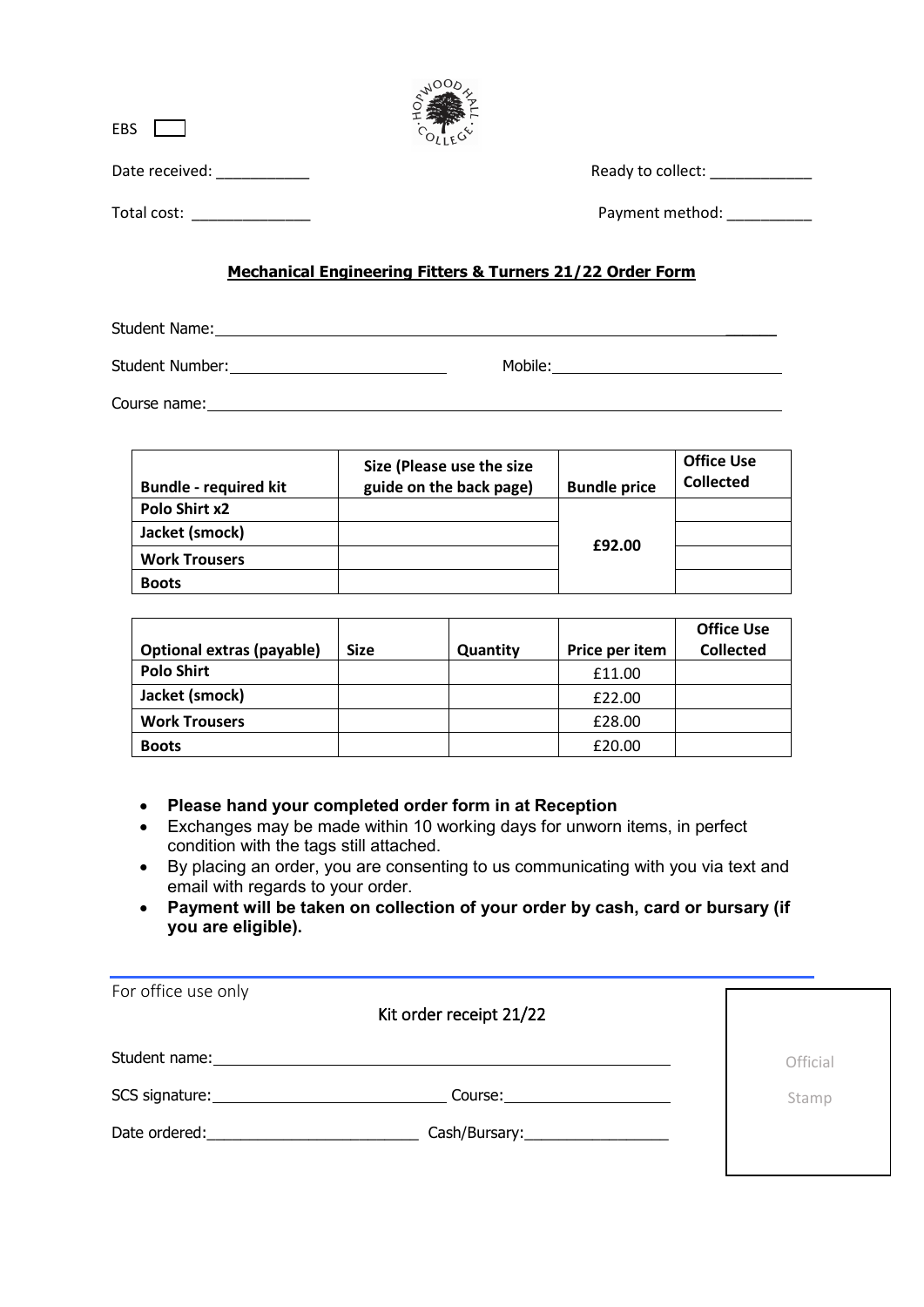| <b>EBS</b>     |                                                                |
|----------------|----------------------------------------------------------------|
| Date received: | Ready to collect:                                              |
| Total cost:    | Payment method:                                                |
|                | Machaelaet Escheauster Ekkennt G. Tannana G. (GO. Gedau Easter |

**NOODS** 

## **Mechanical Engineering Fitters & Turners 21/22 Order Form**

Student Name: \_\_\_\_\_\_

Student Number: Mobile:

Course name:

| <b>Bundle - required kit</b> | Size (Please use the size<br>guide on the back page) | <b>Bundle price</b> | <b>Office Use</b><br><b>Collected</b> |
|------------------------------|------------------------------------------------------|---------------------|---------------------------------------|
| Polo Shirt x2                |                                                      |                     |                                       |
| Jacket (smock)               |                                                      |                     |                                       |
| <b>Work Trousers</b>         |                                                      | £92.00              |                                       |
| <b>Boots</b>                 |                                                      |                     |                                       |

|                           |             |          |                | <b>Office Use</b> |
|---------------------------|-------------|----------|----------------|-------------------|
| Optional extras (payable) | <b>Size</b> | Quantity | Price per item | <b>Collected</b>  |
| <b>Polo Shirt</b>         |             |          | £11.00         |                   |
| Jacket (smock)            |             |          | £22.00         |                   |
| <b>Work Trousers</b>      |             |          | £28.00         |                   |
| <b>Boots</b>              |             |          | £20.00         |                   |

- **Please hand your completed order form in at Reception**
- Exchanges may be made within 10 working days for unworn items, in perfect condition with the tags still attached.
- By placing an order, you are consenting to us communicating with you via text and email with regards to your order.
- **Payment will be taken on collection of your order by cash, card or bursary (if you are eligible).**

| For office use only                                                                                                                                                                                                            | Kit order receipt 21/22            |          |
|--------------------------------------------------------------------------------------------------------------------------------------------------------------------------------------------------------------------------------|------------------------------------|----------|
|                                                                                                                                                                                                                                |                                    | Official |
|                                                                                                                                                                                                                                | Course:                            | Stamp    |
| Date ordered: and the state of the state of the state of the state of the state of the state of the state of the state of the state of the state of the state of the state of the state of the state of the state of the state | Cash/Bursary:_____________________ |          |